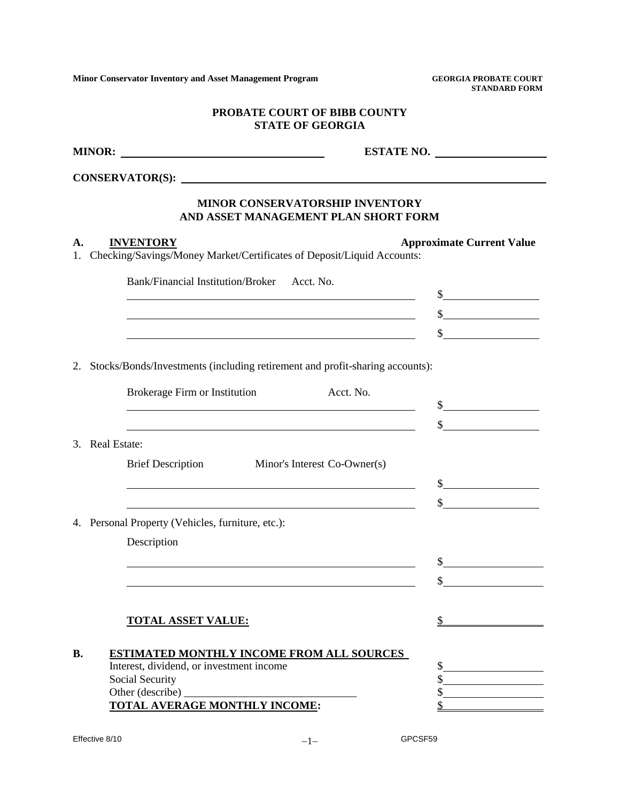**Minor Conservator Inventory and Asset Management Program GEORGIA PROBATE COURT**

 **STANDARD FORM**

### **PROBATE COURT OF BIBB COUNTY STATE OF GEORGIA**

|                                                                                                  | ESTATE NO.                                                                                                                                                                                                                   |
|--------------------------------------------------------------------------------------------------|------------------------------------------------------------------------------------------------------------------------------------------------------------------------------------------------------------------------------|
|                                                                                                  |                                                                                                                                                                                                                              |
|                                                                                                  | MINOR CONSERVATORSHIP INVENTORY<br>AND ASSET MANAGEMENT PLAN SHORT FORM                                                                                                                                                      |
| <b>INVENTORY</b><br>А.<br>Checking/Savings/Money Market/Certificates of Deposit/Liquid Accounts: | <b>Approximate Current Value</b>                                                                                                                                                                                             |
| Bank/Financial Institution/Broker Acct. No.                                                      | $\frac{1}{2}$                                                                                                                                                                                                                |
|                                                                                                  | $\frac{1}{2}$<br><u> 1980 - Johann Barn, mars ann an t-Amhain Aonaich an t-Aonaich an t-Aonaich ann an t-Aonaich ann an t-Aonaich</u>                                                                                        |
|                                                                                                  | $\frac{\text{S}}{\text{S}}$<br><u> 1989 - Johann Barnett, fransk politik (d. 1989)</u>                                                                                                                                       |
| Stocks/Bonds/Investments (including retirement and profit-sharing accounts):<br>2.               |                                                                                                                                                                                                                              |
| Brokerage Firm or Institution                                                                    | Acct. No.                                                                                                                                                                                                                    |
|                                                                                                  | $\frac{1}{2}$<br><u> 1980 - Johann Barn, fransk politik (f. 1980)</u><br>$\frac{\text{I}}{\text{I}}$<br><u> 1980 - Johann Barn, mars ann an t-Amhain Aonaich an t-Aonaich an t-Aonaich ann an t-Aonaich ann an t-Aonaich</u> |
| 3. Real Estate:                                                                                  |                                                                                                                                                                                                                              |
| Brief Description Minor's Interest Co-Owner(s)                                                   |                                                                                                                                                                                                                              |
|                                                                                                  | $\frac{1}{2}$                                                                                                                                                                                                                |
|                                                                                                  | $\frac{1}{2}$                                                                                                                                                                                                                |
| 4. Personal Property (Vehicles, furniture, etc.):                                                |                                                                                                                                                                                                                              |
| Description                                                                                      |                                                                                                                                                                                                                              |
|                                                                                                  | $\frac{1}{2}$                                                                                                                                                                                                                |
|                                                                                                  |                                                                                                                                                                                                                              |
| <b>TOTAL ASSET VALUE:</b>                                                                        |                                                                                                                                                                                                                              |
| <b>ESTIMATED MONTHLY INCOME FROM ALL SOURCES</b><br><b>B.</b>                                    |                                                                                                                                                                                                                              |
| Interest, dividend, or investment income<br>Social Security                                      | \$<br>\$                                                                                                                                                                                                                     |
| Other (describe)                                                                                 | \$                                                                                                                                                                                                                           |
| TOTAL AVERAGE MONTHLY INCOME:                                                                    |                                                                                                                                                                                                                              |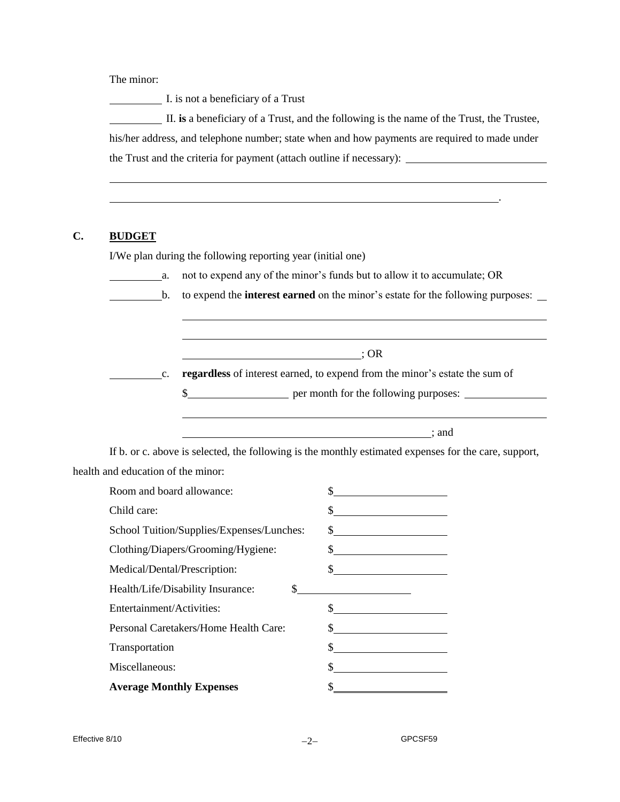The minor:

I. is not a beneficiary of a Trust

 II. **is** a beneficiary of a Trust, and the following is the name of the Trust, the Trustee, his/her address, and telephone number; state when and how payments are required to made under the Trust and the criteria for payment (attach outline if necessary):

#### **C. BUDGET**

l

I/We plan during the following reporting year (initial one)

l l

a. not to expend any of the minor's funds but to allow it to accumulate; OR

.

b. to expend the **interest earned** on the minor's estate for the following purposes:

 $\overline{\phantom{a}}$ ; OR

c. **regardless** of interest earned, to expend from the minor's estate the sum of

\$

; and

If b. or c. above is selected, the following is the monthly estimated expenses for the care, support, health and education of the minor:

| Room and board allowance:                         | <u> 1989 - Andrea State Barbara, politik a postal de la provincia de la provincia de la provincia de la provincia</u>                                                                                                                                                                                                                                                                                                           |
|---------------------------------------------------|---------------------------------------------------------------------------------------------------------------------------------------------------------------------------------------------------------------------------------------------------------------------------------------------------------------------------------------------------------------------------------------------------------------------------------|
| Child care:                                       | $\frac{1}{2}$                                                                                                                                                                                                                                                                                                                                                                                                                   |
| School Tuition/Supplies/Expenses/Lunches:         |                                                                                                                                                                                                                                                                                                                                                                                                                                 |
| Clothing/Diapers/Grooming/Hygiene:                | $\frac{1}{\sqrt{2}}$                                                                                                                                                                                                                                                                                                                                                                                                            |
| Medical/Dental/Prescription:                      | $\sim$                                                                                                                                                                                                                                                                                                                                                                                                                          |
| Health/Life/Disability Insurance:<br>$\mathbb{S}$ | <u> 1989 - Johann Barbara, martin a</u>                                                                                                                                                                                                                                                                                                                                                                                         |
| Entertainment/Activities:                         | $\frac{1}{\sqrt{1-\frac{1}{2}}}\frac{1}{\sqrt{1-\frac{1}{2}}}\frac{1}{\sqrt{1-\frac{1}{2}}}\frac{1}{\sqrt{1-\frac{1}{2}}}\frac{1}{\sqrt{1-\frac{1}{2}}}\frac{1}{\sqrt{1-\frac{1}{2}}}\frac{1}{\sqrt{1-\frac{1}{2}}}\frac{1}{\sqrt{1-\frac{1}{2}}}\frac{1}{\sqrt{1-\frac{1}{2}}}\frac{1}{\sqrt{1-\frac{1}{2}}}\frac{1}{\sqrt{1-\frac{1}{2}}}\frac{1}{\sqrt{1-\frac{1}{2}}}\frac{1}{\sqrt{1-\frac{1}{2}}}\frac{1}{\sqrt{1-\frac{$ |
| Personal Caretakers/Home Health Care:             |                                                                                                                                                                                                                                                                                                                                                                                                                                 |
| Transportation                                    | $\frac{1}{2}$                                                                                                                                                                                                                                                                                                                                                                                                                   |
| Miscellaneous:                                    |                                                                                                                                                                                                                                                                                                                                                                                                                                 |
| <b>Average Monthly Expenses</b>                   |                                                                                                                                                                                                                                                                                                                                                                                                                                 |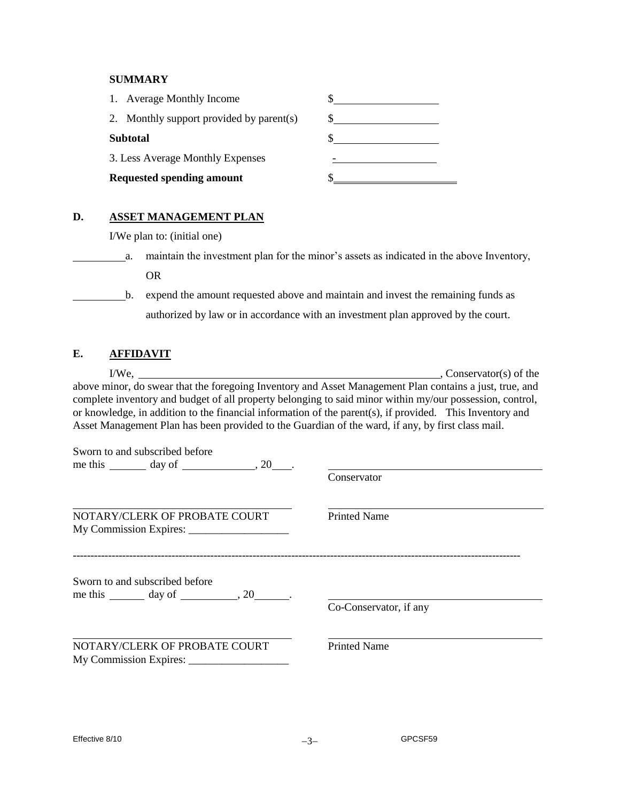## **SUMMARY**

| <b>Requested spending amount</b>         |               |  |
|------------------------------------------|---------------|--|
| 3. Less Average Monthly Expenses         |               |  |
| <b>Subtotal</b>                          |               |  |
| 2. Monthly support provided by parent(s) | $\sim$ $\sim$ |  |
| 1. Average Monthly Income                |               |  |

# **D. ASSET MANAGEMENT PLAN**

I/We plan to: (initial one)

| maintain the investment plan for the minor's assets as indicated in the above Inventory, |
|------------------------------------------------------------------------------------------|
| ΩR                                                                                       |

 b. expend the amount requested above and maintain and invest the remaining funds as authorized by law or in accordance with an investment plan approved by the court.

# **E. AFFIDAVIT**

|                                                                                                   | $\sim$ , Conservator(s) of the                                                                                                                                                                                                                                                                                                  |
|---------------------------------------------------------------------------------------------------|---------------------------------------------------------------------------------------------------------------------------------------------------------------------------------------------------------------------------------------------------------------------------------------------------------------------------------|
| Asset Management Plan has been provided to the Guardian of the ward, if any, by first class mail. | above minor, do swear that the foregoing Inventory and Asset Management Plan contains a just, true, and<br>complete inventory and budget of all property belonging to said minor within my/our possession, control,<br>or knowledge, in addition to the financial information of the parent(s), if provided. This Inventory and |
| Sworn to and subscribed before                                                                    |                                                                                                                                                                                                                                                                                                                                 |
| me this $\_\_\_\_$ day of $\_\_\_\_\_$ , 20 $\_\_\_\_\.$                                          | Conservator                                                                                                                                                                                                                                                                                                                     |
| NOTARY/CLERK OF PROBATE COURT                                                                     | <b>Printed Name</b>                                                                                                                                                                                                                                                                                                             |
| Sworn to and subscribed before<br>me this $\_\_\_\_$ day of $\_\_\_\_$ , 20 $\_\_\_\_\_$ .        | Co-Conservator, if any                                                                                                                                                                                                                                                                                                          |
| NOTARY/CLERK OF PROBATE COURT                                                                     | <b>Printed Name</b>                                                                                                                                                                                                                                                                                                             |